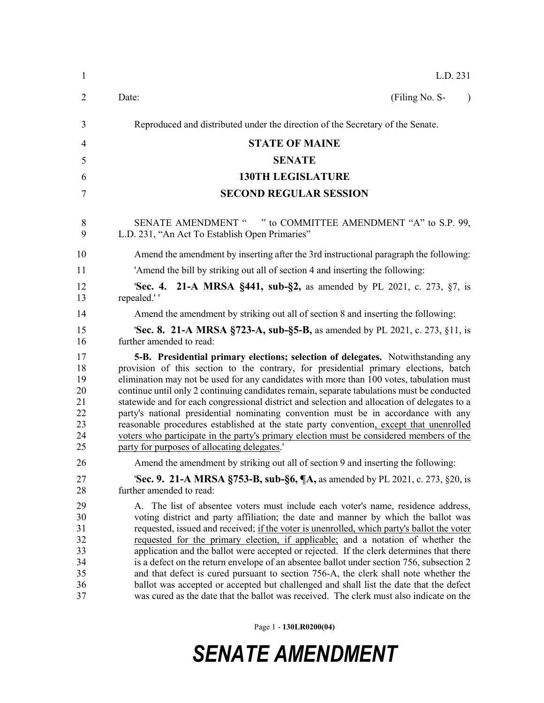| $\mathbf{1}$                                       | L.D. 231                                                                                                                                                                                                                                                                                                                                                                                                                                                                                                                                                                                                                                                                                                                                                                                                                       |
|----------------------------------------------------|--------------------------------------------------------------------------------------------------------------------------------------------------------------------------------------------------------------------------------------------------------------------------------------------------------------------------------------------------------------------------------------------------------------------------------------------------------------------------------------------------------------------------------------------------------------------------------------------------------------------------------------------------------------------------------------------------------------------------------------------------------------------------------------------------------------------------------|
| $\overline{2}$                                     | (Filing No. S-<br>Date:<br>$\lambda$                                                                                                                                                                                                                                                                                                                                                                                                                                                                                                                                                                                                                                                                                                                                                                                           |
| 3                                                  | Reproduced and distributed under the direction of the Secretary of the Senate.                                                                                                                                                                                                                                                                                                                                                                                                                                                                                                                                                                                                                                                                                                                                                 |
| 4                                                  | <b>STATE OF MAINE</b>                                                                                                                                                                                                                                                                                                                                                                                                                                                                                                                                                                                                                                                                                                                                                                                                          |
| 5                                                  | <b>SENATE</b>                                                                                                                                                                                                                                                                                                                                                                                                                                                                                                                                                                                                                                                                                                                                                                                                                  |
| 6                                                  | <b>130TH LEGISLATURE</b>                                                                                                                                                                                                                                                                                                                                                                                                                                                                                                                                                                                                                                                                                                                                                                                                       |
| 7                                                  | <b>SECOND REGULAR SESSION</b>                                                                                                                                                                                                                                                                                                                                                                                                                                                                                                                                                                                                                                                                                                                                                                                                  |
| 8<br>9                                             | SENATE AMENDMENT " " to COMMITTEE AMENDMENT "A" to S.P. 99,<br>L.D. 231, "An Act To Establish Open Primaries"                                                                                                                                                                                                                                                                                                                                                                                                                                                                                                                                                                                                                                                                                                                  |
| 10                                                 | Amend the amendment by inserting after the 3rd instructional paragraph the following:                                                                                                                                                                                                                                                                                                                                                                                                                                                                                                                                                                                                                                                                                                                                          |
| 11                                                 | 'Amend the bill by striking out all of section 4 and inserting the following:                                                                                                                                                                                                                                                                                                                                                                                                                                                                                                                                                                                                                                                                                                                                                  |
| 12<br>13                                           | <b>21-A MRSA §441, sub-§2, as amended by PL 2021, c. 273, §7, is</b><br>'Sec. 4.<br>repealed.''                                                                                                                                                                                                                                                                                                                                                                                                                                                                                                                                                                                                                                                                                                                                |
| 14                                                 | Amend the amendment by striking out all of section 8 and inserting the following:                                                                                                                                                                                                                                                                                                                                                                                                                                                                                                                                                                                                                                                                                                                                              |
| 15<br>16                                           | <b>Sec. 8. 21-A MRSA §723-A, sub-§5-B,</b> as amended by PL 2021, c. 273, §11, is<br>further amended to read:                                                                                                                                                                                                                                                                                                                                                                                                                                                                                                                                                                                                                                                                                                                  |
| 17<br>18<br>19<br>20<br>21<br>22<br>23<br>24<br>25 | 5-B. Presidential primary elections; selection of delegates. Notwithstanding any<br>provision of this section to the contrary, for presidential primary elections, batch<br>elimination may not be used for any candidates with more than 100 votes, tabulation must<br>continue until only 2 continuing candidates remain, separate tabulations must be conducted<br>statewide and for each congressional district and selection and allocation of delegates to a<br>party's national presidential nominating convention must be in accordance with any<br>reasonable procedures established at the state party convention, except that unenrolled<br>voters who participate in the party's primary election must be considered members of the<br>party for purposes of allocating delegates.'                                |
| 26                                                 | Amend the amendment by striking out all of section 9 and inserting the following:                                                                                                                                                                                                                                                                                                                                                                                                                                                                                                                                                                                                                                                                                                                                              |
| 27<br>28                                           | <b>Sec. 9. 21-A MRSA §753-B, sub-§6, <math>\P</math>A</b> , as amended by PL 2021, c. 273, §20, is<br>further amended to read:                                                                                                                                                                                                                                                                                                                                                                                                                                                                                                                                                                                                                                                                                                 |
| 29<br>30<br>31<br>32<br>33<br>34<br>35<br>36<br>37 | A. The list of absentee voters must include each voter's name, residence address,<br>voting district and party affiliation; the date and manner by which the ballot was<br>requested, issued and received; if the voter is unenrolled, which party's ballot the voter<br>requested for the primary election, if applicable; and a notation of whether the<br>application and the ballot were accepted or rejected. If the clerk determines that there<br>is a defect on the return envelope of an absentee ballot under section 756, subsection 2<br>and that defect is cured pursuant to section 756-A, the clerk shall note whether the<br>ballot was accepted or accepted but challenged and shall list the date that the defect<br>was cured as the date that the ballot was received. The clerk must also indicate on the |

Page 1 - **130LR0200(04)**

## *SENATE AMENDMENT*